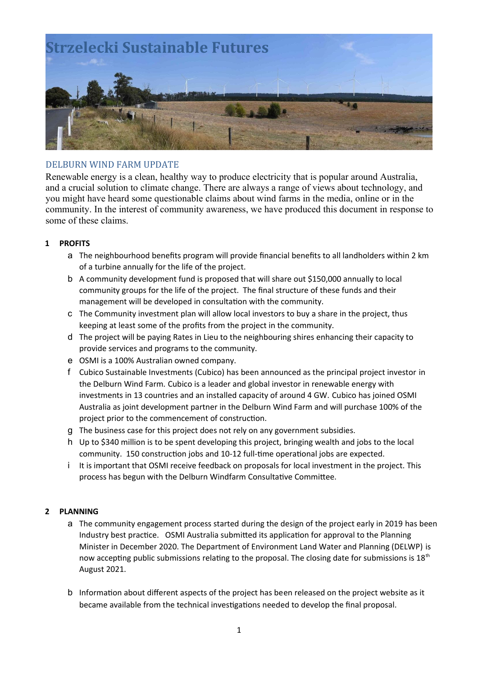

# DELBURN WIND FARM UPDATE

Renewable energy is a clean, healthy way to produce electricity that is popular around Australia, and a crucial solution to climate change. There are always a range of views about technology, and you might have heard some questionable claims about wind farms in the media, online or in the community. In the interest of community awareness, we have produced this document in response to some of these claims.

### **1 PROFITS**

- a The neighbourhood benefits program will provide financial benefits to all landholders within 2 km of a turbine annually for the life of the project.
- b A community development fund is proposed that will share out \$150,000 annually to local community groups for the life of the project. The final structure of these funds and their management will be developed in consultation with the community.
- c The Community investment plan will allow local investors to buy a share in the project, thus keeping at least some of the profits from the project in the community.
- d The project will be paying Rates in Lieu to the neighbouring shires enhancing their capacity to provide services and programs to the community.
- e OSMI is a 100% Australian owned company.
- f Cubico Sustainable Investments (Cubico) has been announced as the principal project investor in the Delburn Wind Farm*.* Cubico is a leader and global investor in renewable energy with investments in 13 countries and an installed capacity of around 4 GW. Cubico has joined OSMI Australia as joint development partner in the Delburn Wind Farm and will purchase 100% of the project prior to the commencement of construction.
- g The business case for this project does not rely on any government subsidies.
- h Up to \$340 million is to be spent developing this project, bringing wealth and jobs to the local community. 150 construction jobs and 10-12 full-time operational jobs are expected.
- i It is important that OSMI receive feedback on proposals for local investment in the project. This process has begun with the Delburn Windfarm Consultative Committee.

# **2 PLANNING**

- a The community engagement process started during the design of the project early in 2019 has been Industry best practice. OSMI Australia submitted its application for approval to the Planning Minister in December 2020. The Department of Environment Land Water and Planning (DELWP) is now accepting public submissions relating to the proposal. The closing date for submissions is  $18<sup>th</sup>$ August 2021.
- b Information about different aspects of the project has been released on the project website as it became available from the technical investigations needed to develop the final proposal.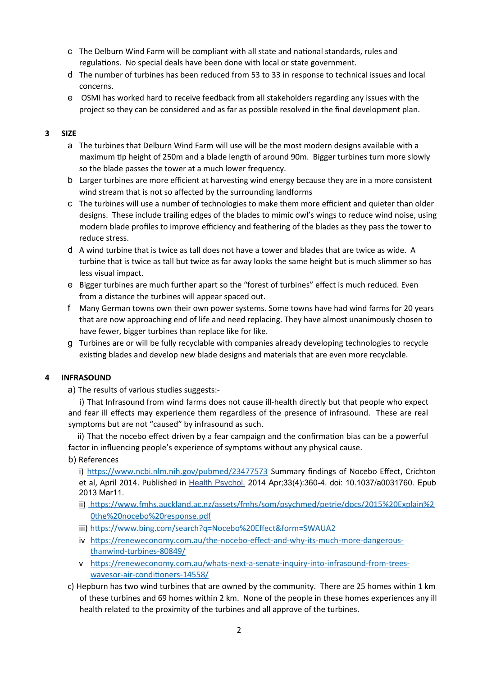- c The Delburn Wind Farm will be compliant with all state and national standards, rules and regulations. No special deals have been done with local or state government.
- d The number of turbines has been reduced from 53 to 33 in response to technical issues and local concerns.
- e OSMI has worked hard to receive feedback from all stakeholders regarding any issues with the project so they can be considered and as far as possible resolved in the final development plan.

## **3 SIZE**

- a The turbines that Delburn Wind Farm will use will be the most modern designs available with a maximum tip height of 250m and a blade length of around 90m. Bigger turbines turn more slowly so the blade passes the tower at a much lower frequency.
- b Larger turbines are more efficient at harvesting wind energy because they are in a more consistent wind stream that is not so affected by the surrounding landforms
- c The turbines will use a number of technologies to make them more efficient and quieter than older designs. These include trailing edges of the blades to mimic owl's wings to reduce wind noise, using modern blade profiles to improve efficiency and feathering of the blades as they pass the tower to reduce stress.
- d A wind turbine that is twice as tall does not have a tower and blades that are twice as wide. A turbine that is twice as tall but twice as far away looks the same height but is much slimmer so has less visual impact.
- e Bigger turbines are much further apart so the "forest of turbines" effect is much reduced. Even from a distance the turbines will appear spaced out.
- f Many German towns own their own power systems. Some towns have had wind farms for 20 years that are now approaching end of life and need replacing. They have almost unanimously chosen to have fewer, bigger turbines than replace like for like.
- g Turbines are or will be fully recyclable with companies already developing technologies to recycle existing blades and develop new blade designs and materials that are even more recyclable.

#### **4 INFRASOUND**

a) The results of various studies suggests:-

i) That Infrasound from wind farms does not cause ill-health directly but that people who expect and fear ill effects may experience them regardless of the presence of infrasound. These are real symptoms but are not "caused" by infrasound as such.

 ii) That the nocebo effect driven by a fear campaign and the confirmation bias can be a powerful factor in influencing people's experience of symptoms without any physical cause.

b) References

i) https://www.ncbi.nlm.nih.gov/pubmed/23477573 Summary findings of Nocebo Effect, Crichton et al, April 2014. Published in Health Psychol. 2014 Apr;33(4):360-4. doi: 10.1037/a0031760. Epub 2013 Mar11.

- [ii\)](../../Users/janeanddanny/Library/Containers/com.apple.mail/Data/Library/Mail%20Downloads/DB9FA89D-BC23-4E3B-8EDD-7C0211066C55/ii)) https://www.fmhs.auckland.ac.nz/assets/fmhs/som/psychmed/petrie/docs/2015%20Explain%2 0the%20nocebo%20response.pdf
- iii) https://www.bing.com/search?q=Nocebo%20Effect&form=SWAUA2
- iv https://reneweconomy.com.au/the-nocebo-effect-and-why-its-much-more-dangerousthan wind-turbines-80849/
- v https://reneweconomy.com.au/whats-next-a-senate-inquiry-into-infrasound-from-treeswaves or-air-conditioners-14558/
- c) Hepburn has two wind turbines that are owned by the community. There are 25 homes within 1 km of these turbines and 69 homes within 2 km. None of the people in these homes experiences any ill health related to the proximity of the turbines and all approve of the turbines.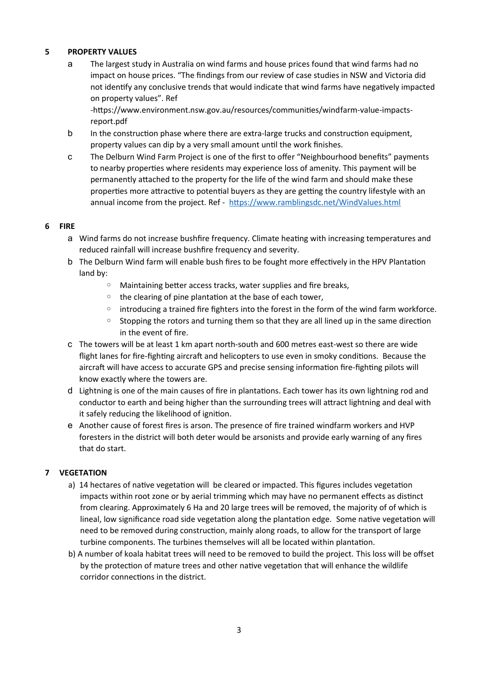## **5 PROPERTY VALUES**

a The largest study in Australia on wind farms and house prices found that wind farms had no impact on house prices. "The findings from our review of case studies in NSW and Victoria did not identify any conclusive trends that would indicate that wind farms have negatively impacted on property values". Ref

-https://www.environment.nsw.gov.au/resources/communities/windfarm-value-impactsreport.pdf

- b In the construction phase where there are extra-large trucks and construction equipment, property values can dip by a very small amount until the work finishes.
- c The Delburn Wind Farm Project is one of the first to offer "Neighbourhood benefits" payments to nearby properties where residents may experience loss of amenity. This payment will be permanently attached to the property for the life of the wind farm and should make these properties more attractive to potential buyers as they are getting the country lifestyle with an annual income from the project. Ref - https://www.ramblingsdc.net/WindValues.html

#### **6 FIRE**

- a Wind farms do not increase bushfire frequency. Climate heating with increasing temperatures and reduced rainfall will increase bushfire frequency and severity.
- b The Delburn Wind farm will enable bush fires to be fought more effectively in the HPV Plantation land by:
	- Maintaining better access tracks, water supplies and fire breaks,
	- the clearing of pine plantation at the base of each tower,
	- introducing a trained fire fighters into the forest in the form of the wind farm workforce.
	- Stopping the rotors and turning them so that they are all lined up in the same direction in the event of fire.
- c The towers will be at least 1 km apart north-south and 600 metres east-west so there are wide flight lanes for fire-fighting aircraft and helicopters to use even in smoky conditions. Because the aircraft will have access to accurate GPS and precise sensing information fire-fighting pilots will know exactly where the towers are.
- d Lightning is one of the main causes of fire in plantations. Each tower has its own lightning rod and conductor to earth and being higher than the surrounding trees will attract lightning and deal with it safely reducing the likelihood of ignition.
- e Another cause of forest fires is arson. The presence of fire trained windfarm workers and HVP foresters in the district will both deter would be arsonists and provide early warning of any fires that do start.

#### **7 VEGETATION**

- a) 14 hectares of native vegetation will be cleared or impacted. This figures includes vegetation impacts within root zone or by aerial trimming which may have no permanent effects as distinct from clearing. Approximately 6 Ha and 20 large trees will be removed, the majority of of which is lineal, low significance road side vegetation along the plantation edge. Some native vegetation will need to be removed during construction, mainly along roads, to allow for the transport of large turbine components. The turbines themselves will all be located within plantation.
- b) A number of koala habitat trees will need to be removed to build the project. This loss will be offset by the protection of mature trees and other native vegetation that will enhance the wildlife corridor connections in the district.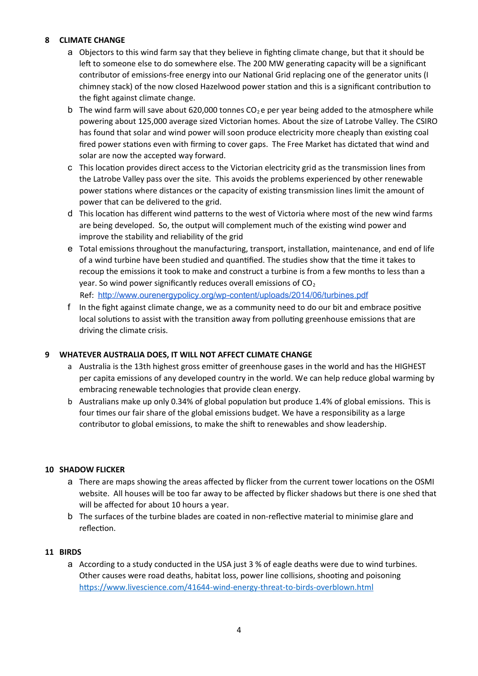# **8 CLIMATE CHANGE**

- a Objectors to this wind farm say that they believe in fighting climate change, but that it should be left to someone else to do somewhere else. The 200 MW generating capacity will be a significant contributor of emissions-free energy into our National Grid replacing one of the generator units (I chimney stack) of the now closed Hazelwood power station and this is a significant contribution to the fight against climate change.
- b The wind farm will save about 620,000 tonnes  $CO<sub>2</sub>$  e per year being added to the atmosphere while powering about 125,000 average sized Victorian homes. About the size of Latrobe Valley. The CSIRO has found that solar and wind power will soon produce electricity more cheaply than existing coal fired power stations even with firming to cover gaps. The Free Market has dictated that wind and solar are now the accepted way forward.
- c This location provides direct access to the Victorian electricity grid as the transmission lines from the Latrobe Valley pass over the site. This avoids the problems experienced by other renewable power stations where distances or the capacity of existing transmission lines limit the amount of power that can be delivered to the grid.
- d This location has different wind patterns to the west of Victoria where most of the new wind farms are being developed. So, the output will complement much of the existing wind power and improve the stability and reliability of the grid
- e Total emissions throughout the manufacturing, transport, installation, maintenance, and end of life of a wind turbine have been studied and quantified. The studies show that the time it takes to recoup the emissions it took to make and construct a turbine is from a few months to less than a year. So wind power significantly reduces overall emissions of  $CO<sub>2</sub>$ Ref: http://www.ourenergypolicy.org/wp - content/uploads/2014/06/turbines.pdf
- f In the fight against climate change, we as a community need to do our bit and embrace positive local solutions to assist with the transition away from polluting greenhouse emissions that are driving the climate crisis.

# **9 WHATEVER AUSTRALIA DOES, IT WILL NOT AFFECT CLIMATE CHANGE**

- a Australia is the 13th highest gross emitter of greenhouse gases in the world and has the HIGHEST per capita emissions of any developed country in the world. We can help reduce global warming by embracing renewable technologies that provide clean energy.
- b Australians make up only 0.34% of global population but produce 1.4% of global emissions. This is four times our fair share of the global emissions budget. We have a responsibility as a large contributor to global emissions, to make the shift to renewables and show leadership.

# **10 SHADOW FLICKER**

- a There are maps showing the areas affected by flicker from the current tower locations on the OSMI website. All houses will be too far away to be affected by flicker shadows but there is one shed that will be affected for about 10 hours a year.
- b The surfaces of the turbine blades are coated in non-reflective material to minimise glare and reflection.

# **11 BIRDS**

a According to a study conducted in the USA just 3 % of eagle deaths were due to wind turbines. Other causes were road deaths, habitat loss, power line collisions, shooting and poisoning https://www.livescience.com/41644-wind-energy-threat-to-birds-overblown.html